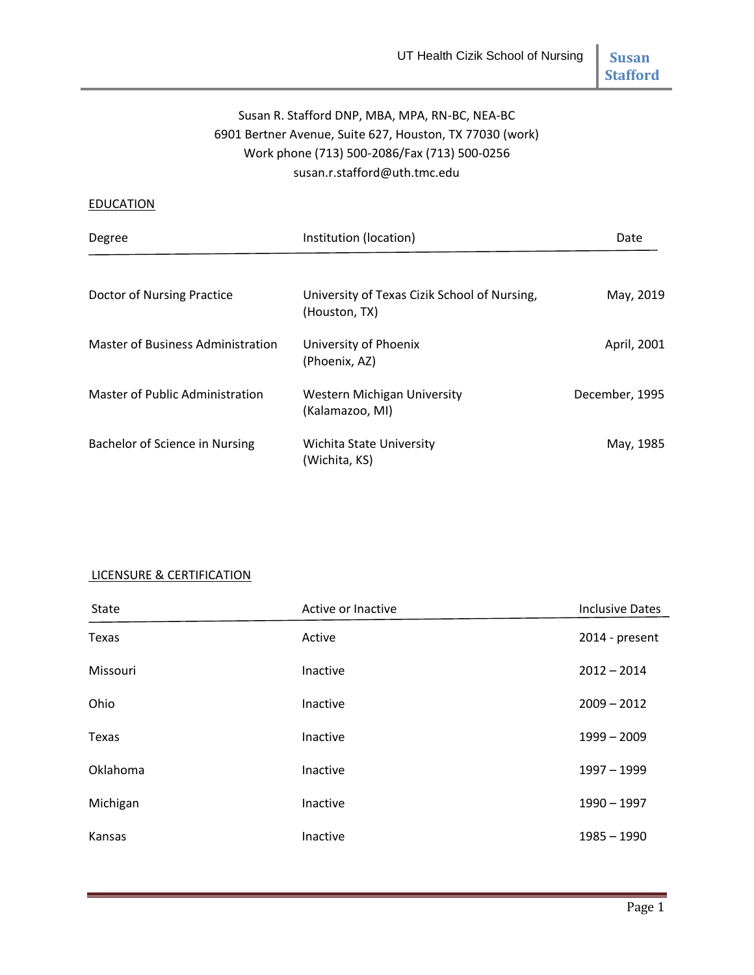# **Stafford**

# Susan R. Stafford DNP, MBA, MPA, RN-BC, NEA-BC 6901 Bertner Avenue, Suite 627, Houston, TX 77030 (work) Work phone (713) 500-2086/Fax (713) 500-0256 susan.r.stafford@uth.tmc.edu

#### **EDUCATION**

| Degree                                   | Institution (location)                                        | Date           |
|------------------------------------------|---------------------------------------------------------------|----------------|
| Doctor of Nursing Practice               | University of Texas Cizik School of Nursing,<br>(Houston, TX) | May, 2019      |
| <b>Master of Business Administration</b> | University of Phoenix<br>(Phoenix, AZ)                        | April, 2001    |
| <b>Master of Public Administration</b>   | <b>Western Michigan University</b><br>(Kalamazoo, MI)         | December, 1995 |
| Bachelor of Science in Nursing           | Wichita State University<br>(Wichita, KS)                     | May, 1985      |

## LICENSURE & CERTIFICATION

| <b>State</b> | Active or Inactive | <b>Inclusive Dates</b> |
|--------------|--------------------|------------------------|
| Texas        | Active             | 2014 - present         |
| Missouri     | Inactive           | $2012 - 2014$          |
| Ohio         | Inactive           | $2009 - 2012$          |
| Texas        | Inactive           | $1999 - 2009$          |
| Oklahoma     | Inactive           | 1997 - 1999            |
| Michigan     | Inactive           | $1990 - 1997$          |
| Kansas       | Inactive           | $1985 - 1990$          |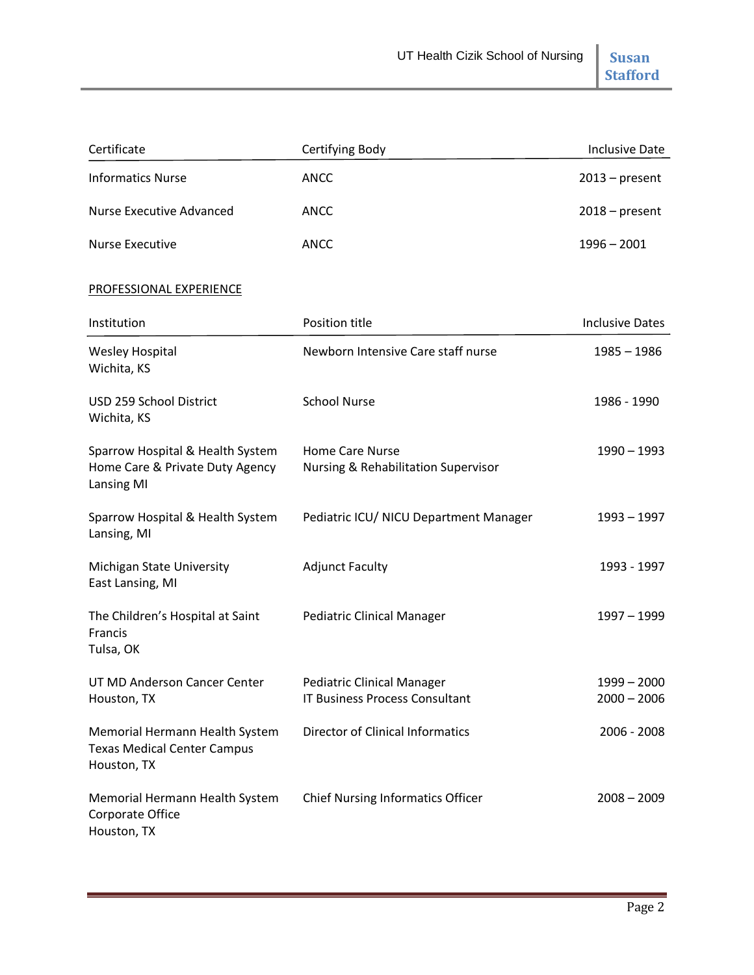| Certificate                                                                              | Certifying Body                                                            | <b>Inclusive Date</b>          |
|------------------------------------------------------------------------------------------|----------------------------------------------------------------------------|--------------------------------|
| <b>Informatics Nurse</b>                                                                 | <b>ANCC</b>                                                                | $2013$ – present               |
| <b>Nurse Executive Advanced</b>                                                          | <b>ANCC</b>                                                                | $2018$ – present               |
| <b>Nurse Executive</b>                                                                   | <b>ANCC</b>                                                                | $1996 - 2001$                  |
| PROFESSIONAL EXPERIENCE                                                                  |                                                                            |                                |
| Institution                                                                              | Position title                                                             | <b>Inclusive Dates</b>         |
| <b>Wesley Hospital</b><br>Wichita, KS                                                    | Newborn Intensive Care staff nurse                                         | 1985 - 1986                    |
| USD 259 School District<br>Wichita, KS                                                   | <b>School Nurse</b>                                                        | 1986 - 1990                    |
| Sparrow Hospital & Health System<br>Home Care & Private Duty Agency<br><b>Lansing MI</b> | <b>Home Care Nurse</b><br>Nursing & Rehabilitation Supervisor              | $1990 - 1993$                  |
| Sparrow Hospital & Health System<br>Lansing, MI                                          | Pediatric ICU/ NICU Department Manager                                     | 1993 – 1997                    |
| Michigan State University<br>East Lansing, MI                                            | <b>Adjunct Faculty</b>                                                     | 1993 - 1997                    |
| The Children's Hospital at Saint<br>Francis<br>Tulsa, OK                                 | <b>Pediatric Clinical Manager</b>                                          | 1997 - 1999                    |
| UT MD Anderson Cancer Center<br>Houston, TX                                              | <b>Pediatric Clinical Manager</b><br><b>IT Business Process Consultant</b> | $1999 - 2000$<br>$2000 - 2006$ |
| Memorial Hermann Health System<br><b>Texas Medical Center Campus</b><br>Houston, TX      | <b>Director of Clinical Informatics</b>                                    | 2006 - 2008                    |
| Memorial Hermann Health System<br>Corporate Office<br>Houston, TX                        | <b>Chief Nursing Informatics Officer</b>                                   | $2008 - 2009$                  |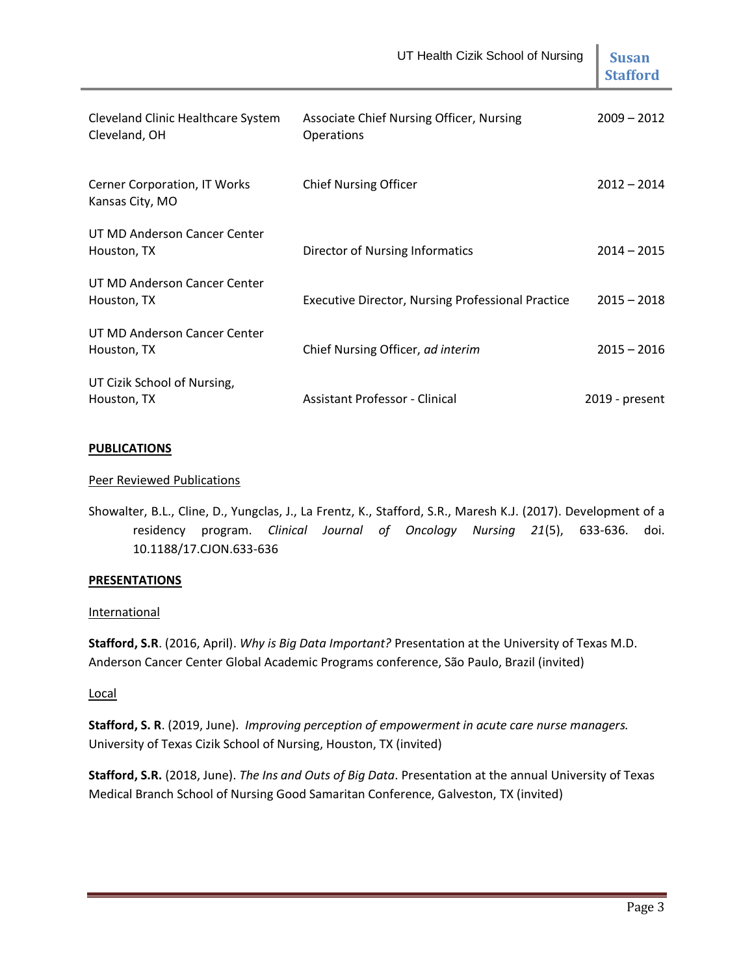|                                                     | UT Health Cizik School of Nursing                        | <b>Susan</b><br><b>Stafford</b> |
|-----------------------------------------------------|----------------------------------------------------------|---------------------------------|
| Cleveland Clinic Healthcare System<br>Cleveland, OH | Associate Chief Nursing Officer, Nursing<br>Operations   | $2009 - 2012$                   |
| Cerner Corporation, IT Works<br>Kansas City, MO     | <b>Chief Nursing Officer</b>                             | $2012 - 2014$                   |
| UT MD Anderson Cancer Center<br>Houston, TX         | Director of Nursing Informatics                          | $2014 - 2015$                   |
| UT MD Anderson Cancer Center<br>Houston, TX         | <b>Executive Director, Nursing Professional Practice</b> | $2015 - 2018$                   |
| UT MD Anderson Cancer Center<br>Houston, TX         | Chief Nursing Officer, ad interim                        | $2015 - 2016$                   |
| UT Cizik School of Nursing,<br>Houston, TX          | Assistant Professor - Clinical                           | 2019 - present                  |

### **PUBLICATIONS**

## Peer Reviewed Publications

Showalter, B.L., Cline, D., Yungclas, J., La Frentz, K., Stafford, S.R., Maresh K.J. (2017). Development of a residency program. *Clinical Journal of Oncology Nursing 21*(5), 633-636. doi. 10.1188/17.CJON.633-636

### **PRESENTATIONS**

### **International**

**Stafford, S.R**. (2016, April). *Why is Big Data Important?* Presentation at the University of Texas M.D. Anderson Cancer Center Global Academic Programs conference, São Paulo, Brazil (invited)

### Local

**Stafford, S. R**. (2019, June). *Improving perception of empowerment in acute care nurse managers.*  University of Texas Cizik School of Nursing, Houston, TX (invited)

**Stafford, S.R.** (2018, June). *The Ins and Outs of Big Data*. Presentation at the annual University of Texas Medical Branch School of Nursing Good Samaritan Conference, Galveston, TX (invited)